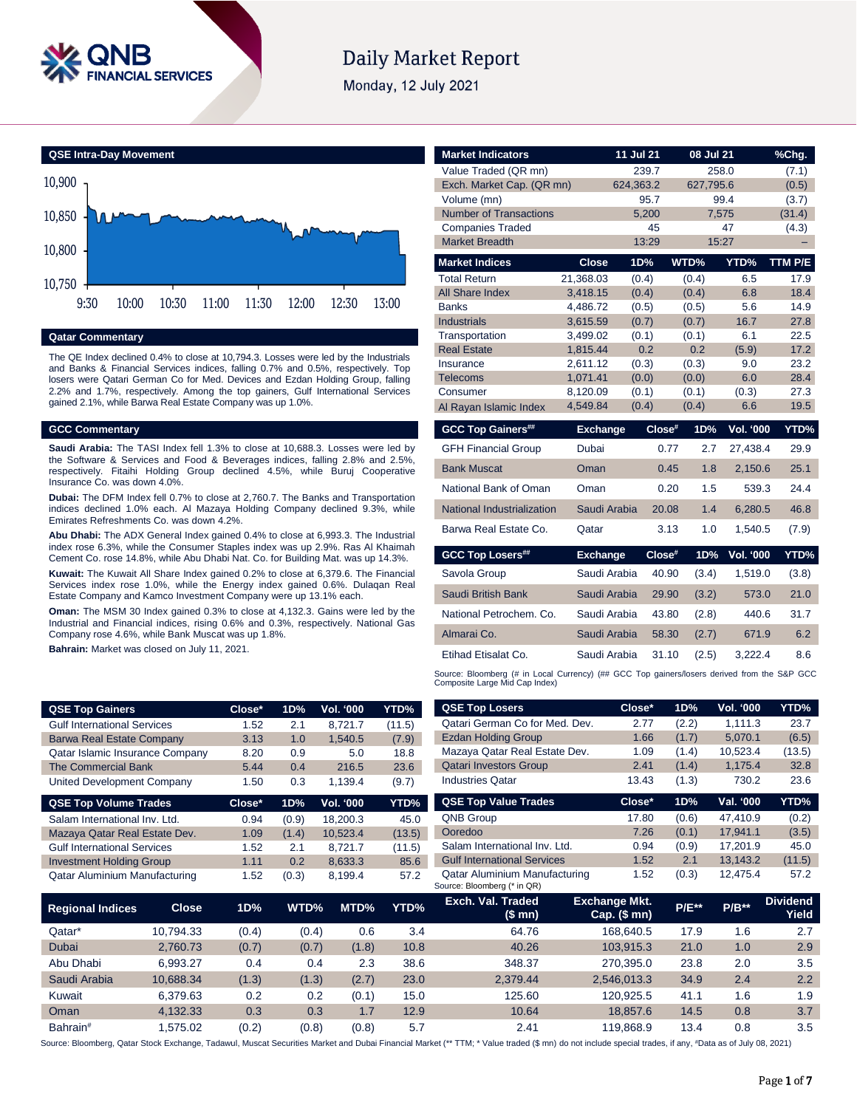

# **Daily Market Report**

Monday, 12 July 2021



#### **Qatar Commentary**

The QE Index declined 0.4% to close at 10,794.3. Losses were led by the Industrials and Banks & Financial Services indices, falling 0.7% and 0.5%, respectively. Top losers were Qatari German Co for Med. Devices and Ezdan Holding Group, falling 2.2% and 1.7%, respectively. Among the top gainers, Gulf International Services gained 2.1%, while Barwa Real Estate Company was up 1.0%.

#### **GCC Commentary**

**QSE Top Gai** 

**Saudi Arabia:** The TASI Index fell 1.3% to close at 10,688.3. Losses were led by the Software & Services and Food & Beverages indices, falling 2.8% and 2.5%, respectively. Fitaihi Holding Group declined 4.5%, while Buruj Cooperative Insurance Co. was down 4.0%.

**Dubai:** The DFM Index fell 0.7% to close at 2,760.7. The Banks and Transportation indices declined 1.0% each. Al Mazaya Holding Company declined 9.3%, while Emirates Refreshments Co. was down 4.2%.

**Abu Dhabi:** The ADX General Index gained 0.4% to close at 6,993.3. The Industrial index rose 6.3%, while the Consumer Staples index was up 2.9%. Ras Al Khaimah Cement Co. rose 14.8%, while Abu Dhabi Nat. Co. for Building Mat. was up 14.3%.

**Kuwait:** The Kuwait All Share Index gained 0.2% to close at 6,379.6. The Financial Services index rose 1.0%, while the Energy index gained 0.6%. Dulaqan Real Estate Company and Kamco Investment Company were up 13.1% each.

**Oman:** The MSM 30 Index gained 0.3% to close at 4,132.3. Gains were led by the Industrial and Financial indices, rising 0.6% and 0.3%, respectively. National Gas Company rose 4.6%, while Bank Muscat was up 1.8%.

**Bahrain:** Market was closed on July 11, 2021.

| Value Traded (QR mn)          |                 | 239.7     |           | 258.0            | (7.1)   |
|-------------------------------|-----------------|-----------|-----------|------------------|---------|
| Exch. Market Cap. (QR mn)     |                 | 624,363.2 | 627,795.6 |                  | (0.5)   |
| Volume (mn)                   |                 | 95.7      |           | 99.4             | (3.7)   |
| <b>Number of Transactions</b> |                 | 5,200     |           | 7,575            | (31.4)  |
| <b>Companies Traded</b>       |                 | 45        |           | 47               | (4.3)   |
| <b>Market Breadth</b>         |                 | 13:29     |           | 15:27            |         |
| <b>Market Indices</b>         | <b>Close</b>    | 1D%       | WTD%      | YTD%             | TTM P/E |
| <b>Total Return</b>           | 21,368.03       | (0.4)     | (0.4)     | 6.5              | 17.9    |
| All Share Index               | 3,418.15        | (0.4)     | (0.4)     | 6.8              | 18.4    |
| <b>Banks</b>                  | 4,486.72        | (0.5)     | (0.5)     | 5.6              | 14.9    |
| <b>Industrials</b>            | 3,615.59        | (0.7)     | (0.7)     | 16.7             | 27.8    |
| Transportation                | 3,499.02        | (0.1)     | (0.1)     | 6.1              | 22.5    |
| <b>Real Estate</b>            | 1,815.44        | 0.2       | 0.2       | (5.9)            | 17.2    |
| Insurance                     | 2,611.12        | (0.3)     | (0.3)     | 9.0              | 23.2    |
| <b>Telecoms</b>               | 1,071.41        | (0.0)     | (0.0)     | 6.0              | 28.4    |
| Consumer                      | 8,120.09        | (0.1)     | (0.1)     | (0.3)            | 27.3    |
| Al Rayan Islamic Index        | 4,549.84        | (0.4)     | (0.4)     | 6.6              | 19.5    |
|                               |                 |           |           |                  |         |
| <b>GCC Top Gainers##</b>      | <b>Exchange</b> | Close#    | 1D%       | <b>Vol. '000</b> | YTD%    |
| <b>GFH Financial Group</b>    | Dubai           | 0.77      | 2.7       | 27,438.4         | 29.9    |
| <b>Bank Muscat</b>            | Oman            | 0.45      | 1.8       | 2,150.6          | 25.1    |
| National Bank of Oman         | Oman            | 0.20      | 1.5       | 539.3            | 24.4    |
| National Industrialization    | Saudi Arabia    | 20.08     | 1.4       | 6,280.5          | 46.8    |
| Barwa Real Estate Co.         | Qatar           | 3.13      | 1.0       | 1,540.5          | (7.9)   |
| <b>GCC Top Losers##</b>       | <b>Exchange</b> | Close#    | 1D%       | <b>Vol. '000</b> | YTD%    |
| Savola Group                  | Saudi Arabia    | 40.90     | (3.4)     | 1,519.0          | (3.8)   |
| Saudi British Bank            | Saudi Arabia    | 29.90     | (3.2)     | 573.0            | 21.0    |
| National Petrochem. Co.       | Saudi Arabia    | 43.80     | (2.8)     | 440.6            | 31.7    |
| Almarai Co.                   | Saudi Arabia    | 58.30     | (2.7)     | 671.9            | 6.2     |
| Etihad Etisalat Co.           | Saudi Arabia    | 31.10     | (2.5)     | 3,222.4          | 8.6     |

**Market Indicators 11 Jul 21 08 Jul 21 %Chg.**

Source: Bloomberg (# in Local Currency) (## GCC Top gainers/losers derived from the S&P GCC<br>Composite Large Mid Cap Index)

| <b>QSE Top Gainers</b>             |              | Close* | 1D%   | Vol. '000 | YTD%        | <b>QSE Top Losers</b>                                        | Close*                        | 1D%      | Vol. '000 | YTD%                            |
|------------------------------------|--------------|--------|-------|-----------|-------------|--------------------------------------------------------------|-------------------------------|----------|-----------|---------------------------------|
| <b>Gulf International Services</b> |              | 1.52   | 2.1   | 8,721.7   | (11.5)      | Qatari German Co for Med. Dev.                               | 2.77                          | (2.2)    | 1,111.3   | 23.7                            |
| <b>Barwa Real Estate Company</b>   |              | 3.13   | 1.0   | 1,540.5   | (7.9)       | <b>Ezdan Holding Group</b>                                   | 1.66                          | (1.7)    | 5,070.1   | (6.5)                           |
| Qatar Islamic Insurance Company    |              | 8.20   | 0.9   | 5.0       | 18.8        | Mazaya Qatar Real Estate Dev.                                | 1.09                          | (1.4)    | 10,523.4  | (13.5)                          |
| <b>The Commercial Bank</b>         |              | 5.44   | 0.4   | 216.5     | 23.6        | <b>Qatari Investors Group</b>                                | 2.41                          | (1.4)    | 1,175.4   | 32.8                            |
| United Development Company         |              | 1.50   | 0.3   | 1,139.4   | (9.7)       | <b>Industries Qatar</b>                                      | 13.43                         | (1.3)    | 730.2     | 23.6                            |
| <b>QSE Top Volume Trades</b>       |              | Close* | 1D%   | Vol. '000 | YTD%        | <b>QSE Top Value Trades</b>                                  | Close*                        | 1D%      | Val. '000 | YTD%                            |
| Salam International Inv. Ltd.      |              | 0.94   | (0.9) | 18,200.3  | 45.0        | QNB Group                                                    | 17.80                         | (0.6)    | 47,410.9  | (0.2)                           |
| Mazaya Qatar Real Estate Dev.      |              | 1.09   | (1.4) | 10,523.4  | (13.5)      | Ooredoo                                                      | 7.26                          | (0.1)    | 17,941.1  | (3.5)                           |
| <b>Gulf International Services</b> |              | 1.52   | 2.1   | 8,721.7   | (11.5)      | Salam International Inv. Ltd.                                | 0.94                          | (0.9)    | 17,201.9  | 45.0                            |
| <b>Investment Holding Group</b>    |              | 1.11   | 0.2   | 8,633.3   | 85.6        | <b>Gulf International Services</b>                           | 1.52                          | 2.1      | 13,143.2  | (11.5)                          |
| Qatar Aluminium Manufacturing      |              | 1.52   | (0.3) | 8,199.4   | 57.2        | Qatar Aluminium Manufacturing<br>Source: Bloomberg (* in QR) | 1.52                          | (0.3)    | 12,475.4  | 57.2                            |
| <b>Regional Indices</b>            | <b>Close</b> | 1D%    | WTD%  | MTD%      | <b>YTD%</b> | Exch. Val. Traded<br>(\$ mn)                                 | Exchange Mkt.<br>Cap. $($mn)$ | $P/E***$ | $P/B**$   | <b>Dividend</b><br><b>Yield</b> |
| Qatar*                             | 10,794.33    | (0.4)  | (0.4) | 0.6       | 3.4         | 64.76                                                        | 168,640.5                     | 17.9     | 1.6       | 2.7                             |
| Dubai                              | 2,760.73     | (0.7)  | (0.7) | (1.8)     | 10.8        | 40.26                                                        | 103,915.3                     | 21.0     | 1.0       | 2.9                             |
| Abu Dhabi                          | 6,993.27     | 0.4    | 0.4   | 2.3       | 38.6        | 348.37                                                       | 270,395.0                     | 23.8     | 2.0       | 3.5                             |
| Saudi Arabia                       | 10.688.34    | (1.3)  | (1.3) | (2.7)     | 23.0        | 2,379.44                                                     | 2,546,013.3                   | 34.9     | 2.4       | 2.2                             |

Source: Bloomberg, Qatar Stock Exchange, Tadawul, Muscat Securities Market and Dubai Financial Market (\*\* TTM; \* Value traded (\$ mn) do not include special trades, if any, #Data as of July 08, 2021)

Kuwait 6,379.63 0.2 0.2 (0.1) 15.0 125.60 120,925.5 41.1 1.6 1.9 Oman 4,132.33 0.3 0.3 1.7 12.9 10.64 18,857.6 14.5 0.8 3.7 Bahrain# 1,575.02 (0.2) (0.8) (0.8) 5.7 2.41 119,868.9 13.4 0.8 3.5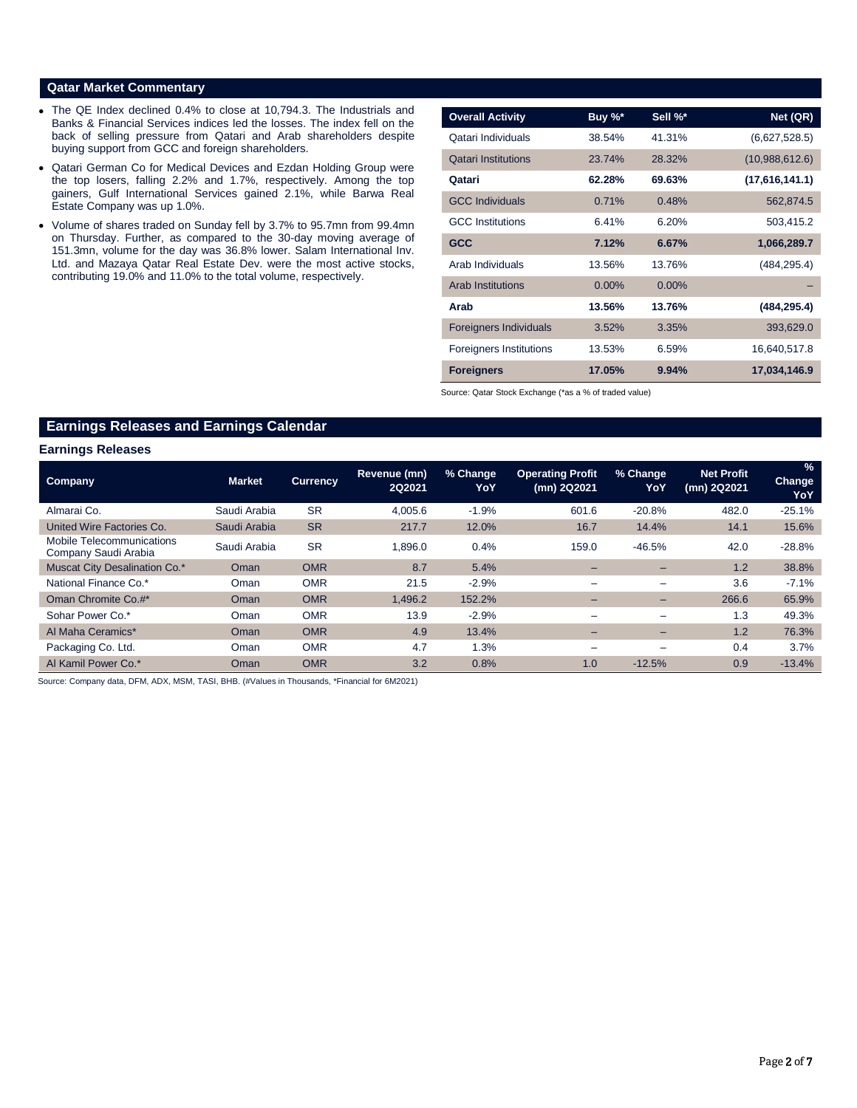#### **Qatar Market Commentary**

- The QE Index declined 0.4% to close at 10,794.3. The Industrials and Banks & Financial Services indices led the losses. The index fell on the back of selling pressure from Qatari and Arab shareholders despite buying support from GCC and foreign shareholders.
- Qatari German Co for Medical Devices and Ezdan Holding Group were the top losers, falling 2.2% and 1.7%, respectively. Among the top gainers, Gulf International Services gained 2.1%, while Barwa Real Estate Company was up 1.0%.
- Volume of shares traded on Sunday fell by 3.7% to 95.7mn from 99.4mn on Thursday. Further, as compared to the 30-day moving average of 151.3mn, volume for the day was 36.8% lower. Salam International Inv. Ltd. and Mazaya Qatar Real Estate Dev. were the most active stocks, contributing 19.0% and 11.0% to the total volume, respectively.

| <b>Overall Activity</b>        | Buy %*   | Sell %*  | Net (QR)       |
|--------------------------------|----------|----------|----------------|
| Qatari Individuals             | 38.54%   | 41.31%   | (6,627,528.5)  |
| <b>Qatari Institutions</b>     | 23.74%   | 28.32%   | (10,988,612.6) |
| Qatari                         | 62.28%   | 69.63%   | (17,616,141.1) |
| <b>GCC Individuals</b>         | 0.71%    | 0.48%    | 562,874.5      |
| <b>GCC</b> Institutions        | 6.41%    | 6.20%    | 503,415.2      |
| <b>GCC</b>                     | 7.12%    | 6.67%    | 1,066,289.7    |
| Arab Individuals               | 13.56%   | 13.76%   | (484, 295.4)   |
| <b>Arab Institutions</b>       | $0.00\%$ | $0.00\%$ |                |
| Arab                           | 13.56%   | 13.76%   | (484, 295.4)   |
| <b>Foreigners Individuals</b>  | 3.52%    | 3.35%    | 393,629.0      |
| <b>Foreigners Institutions</b> | 13.53%   | 6.59%    | 16,640,517.8   |
| <b>Foreigners</b>              | 17.05%   | 9.94%    | 17,034,146.9   |

Source: Qatar Stock Exchange (\*as a % of traded value)

# **Earnings Releases and Earnings Calendar**

#### **Earnings Releases**

| <b>Company</b>                                    | <b>Market</b> | <b>Currency</b> | Revenue (mn)<br><b>2Q2021</b> | % Change<br>YoY | <b>Operating Profit</b><br>(mn) 2Q2021 | % Change<br>YoY          | <b>Net Profit</b><br>(mn) 2Q2021 | %<br><b>Change</b><br>YoY |
|---------------------------------------------------|---------------|-----------------|-------------------------------|-----------------|----------------------------------------|--------------------------|----------------------------------|---------------------------|
| Almarai Co.                                       | Saudi Arabia  | <b>SR</b>       | 4.005.6                       | $-1.9%$         | 601.6                                  | $-20.8%$                 | 482.0                            | $-25.1%$                  |
| United Wire Factories Co.                         | Saudi Arabia  | <b>SR</b>       | 217.7                         | 12.0%           | 16.7                                   | 14.4%                    | 14.1                             | 15.6%                     |
| Mobile Telecommunications<br>Company Saudi Arabia | Saudi Arabia  | <b>SR</b>       | 1,896.0                       | 0.4%            | 159.0                                  | $-46.5%$                 | 42.0                             | $-28.8\%$                 |
| Muscat City Desalination Co.*                     | Oman          | <b>OMR</b>      | 8.7                           | 5.4%            | -                                      | $\overline{\phantom{0}}$ | 1.2                              | 38.8%                     |
| National Finance Co.*                             | Oman          | <b>OMR</b>      | 21.5                          | $-2.9%$         |                                        |                          | 3.6                              | $-7.1%$                   |
| Oman Chromite Co.#*                               | Oman          | <b>OMR</b>      | 1.496.2                       | 152.2%          | -                                      | -                        | 266.6                            | 65.9%                     |
| Sohar Power Co.*                                  | Oman          | <b>OMR</b>      | 13.9                          | $-2.9%$         | -                                      | $\overline{\phantom{m}}$ | 1.3                              | 49.3%                     |
| Al Maha Ceramics*                                 | Oman          | <b>OMR</b>      | 4.9                           | 13.4%           | -                                      | -                        | 1.2                              | 76.3%                     |
| Packaging Co. Ltd.                                | Oman          | <b>OMR</b>      | 4.7                           | 1.3%            | -                                      | $\overline{\phantom{m}}$ | 0.4                              | 3.7%                      |
| Al Kamil Power Co.*                               | Oman          | <b>OMR</b>      | 3.2                           | 0.8%            | 1.0                                    | $-12.5%$                 | 0.9                              | $-13.4%$                  |

Source: Company data, DFM, ADX, MSM, TASI, BHB. (#Values in Thousands, \*Financial for 6M2021)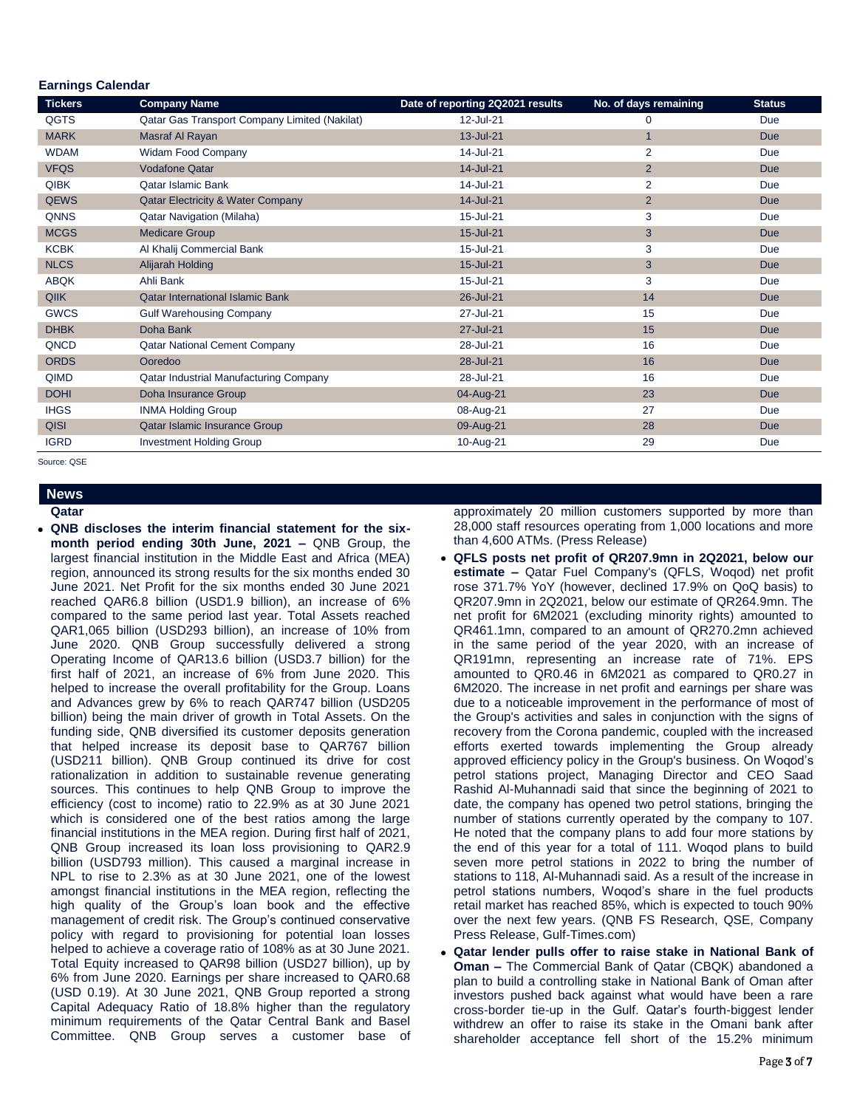#### **Earnings Calendar**

| <b>Tickers</b> | <b>Company Name</b>                           | Date of reporting 2Q2021 results | No. of days remaining | <b>Status</b> |
|----------------|-----------------------------------------------|----------------------------------|-----------------------|---------------|
| <b>QGTS</b>    | Qatar Gas Transport Company Limited (Nakilat) | 12-Jul-21                        | 0                     | Due           |
| <b>MARK</b>    | Masraf Al Rayan                               | 13-Jul-21                        | $\mathbf{1}$          | <b>Due</b>    |
| <b>WDAM</b>    | Widam Food Company                            | 14-Jul-21                        | 2                     | Due           |
| <b>VFQS</b>    | <b>Vodafone Qatar</b>                         | 14-Jul-21                        | $\overline{2}$        | <b>Due</b>    |
| <b>QIBK</b>    | <b>Qatar Islamic Bank</b>                     | 14-Jul-21                        | $\overline{2}$        | Due           |
| <b>QEWS</b>    | <b>Qatar Electricity &amp; Water Company</b>  | 14-Jul-21                        | $\overline{2}$        | <b>Due</b>    |
| <b>QNNS</b>    | <b>Qatar Navigation (Milaha)</b>              | 15-Jul-21                        | 3                     | Due           |
| <b>MCGS</b>    | <b>Medicare Group</b>                         | 15-Jul-21                        | 3                     | <b>Due</b>    |
| <b>KCBK</b>    | Al Khalij Commercial Bank                     | 15-Jul-21                        | 3                     | Due           |
| <b>NLCS</b>    | Alijarah Holding                              | 15-Jul-21                        | $\mathbf{3}$          | <b>Due</b>    |
| <b>ABQK</b>    | Ahli Bank                                     | 15-Jul-21                        | 3                     | Due           |
| <b>QIIK</b>    | <b>Qatar International Islamic Bank</b>       | 26-Jul-21                        | 14                    | <b>Due</b>    |
| <b>GWCS</b>    | <b>Gulf Warehousing Company</b>               | 27-Jul-21                        | 15                    | Due           |
| <b>DHBK</b>    | Doha Bank                                     | 27-Jul-21                        | 15                    | <b>Due</b>    |
| QNCD           | <b>Qatar National Cement Company</b>          | 28-Jul-21                        | 16                    | Due           |
| <b>ORDS</b>    | Ooredoo                                       | 28-Jul-21                        | 16                    | Due           |
| QIMD           | Qatar Industrial Manufacturing Company        | 28-Jul-21                        | 16                    | Due           |
| <b>DOHI</b>    | Doha Insurance Group                          | 04-Aug-21                        | 23                    | <b>Due</b>    |
| <b>IHGS</b>    | <b>INMA Holding Group</b>                     | 08-Aug-21                        | 27                    | Due           |
| <b>QISI</b>    | Qatar Islamic Insurance Group                 | 09-Aug-21                        | 28                    | <b>Due</b>    |
| <b>IGRD</b>    | Investment Holding Group                      | 10-Aug-21                        | 29                    | Due           |

Source: QSE

# **News**

- **Qatar**
- **QNB discloses the interim financial statement for the sixmonth period ending 30th June, 2021 –** QNB Group, the largest financial institution in the Middle East and Africa (MEA) region, announced its strong results for the six months ended 30 June 2021. Net Profit for the six months ended 30 June 2021 reached QAR6.8 billion (USD1.9 billion), an increase of 6% compared to the same period last year. Total Assets reached QAR1,065 billion (USD293 billion), an increase of 10% from June 2020. QNB Group successfully delivered a strong Operating Income of QAR13.6 billion (USD3.7 billion) for the first half of 2021, an increase of 6% from June 2020. This helped to increase the overall profitability for the Group. Loans and Advances grew by 6% to reach QAR747 billion (USD205 billion) being the main driver of growth in Total Assets. On the funding side, QNB diversified its customer deposits generation that helped increase its deposit base to QAR767 billion (USD211 billion). QNB Group continued its drive for cost rationalization in addition to sustainable revenue generating sources. This continues to help QNB Group to improve the efficiency (cost to income) ratio to 22.9% as at 30 June 2021 which is considered one of the best ratios among the large financial institutions in the MEA region. During first half of 2021, QNB Group increased its loan loss provisioning to QAR2.9 billion (USD793 million). This caused a marginal increase in NPL to rise to 2.3% as at 30 June 2021, one of the lowest amongst financial institutions in the MEA region, reflecting the high quality of the Group's loan book and the effective management of credit risk. The Group's continued conservative policy with regard to provisioning for potential loan losses helped to achieve a coverage ratio of 108% as at 30 June 2021. Total Equity increased to QAR98 billion (USD27 billion), up by 6% from June 2020. Earnings per share increased to QAR0.68 (USD 0.19). At 30 June 2021, QNB Group reported a strong Capital Adequacy Ratio of 18.8% higher than the regulatory minimum requirements of the Qatar Central Bank and Basel Committee. QNB Group serves a customer base of

approximately 20 million customers supported by more than 28,000 staff resources operating from 1,000 locations and more than 4,600 ATMs. (Press Release)

- **QFLS posts net profit of QR207.9mn in 2Q2021, below our estimate –** Qatar Fuel Company's (QFLS, Woqod) net profit rose 371.7% YoY (however, declined 17.9% on QoQ basis) to QR207.9mn in 2Q2021, below our estimate of QR264.9mn. The net profit for 6M2021 (excluding minority rights) amounted to QR461.1mn, compared to an amount of QR270.2mn achieved in the same period of the year 2020, with an increase of QR191mn, representing an increase rate of 71%. EPS amounted to QR0.46 in 6M2021 as compared to QR0.27 in 6M2020. The increase in net profit and earnings per share was due to a noticeable improvement in the performance of most of the Group's activities and sales in conjunction with the signs of recovery from the Corona pandemic, coupled with the increased efforts exerted towards implementing the Group already approved efficiency policy in the Group's business. On Woqod's petrol stations project, Managing Director and CEO Saad Rashid Al-Muhannadi said that since the beginning of 2021 to date, the company has opened two petrol stations, bringing the number of stations currently operated by the company to 107. He noted that the company plans to add four more stations by the end of this year for a total of 111. Woqod plans to build seven more petrol stations in 2022 to bring the number of stations to 118, Al-Muhannadi said. As a result of the increase in petrol stations numbers, Woqod's share in the fuel products retail market has reached 85%, which is expected to touch 90% over the next few years. (QNB FS Research, QSE, Company Press Release, Gulf-Times.com)
- **Qatar lender pulls offer to raise stake in National Bank of Oman –** The Commercial Bank of Qatar (CBQK) abandoned a plan to build a controlling stake in National Bank of Oman after investors pushed back against what would have been a rare cross-border tie-up in the Gulf. Qatar's fourth-biggest lender withdrew an offer to raise its stake in the Omani bank after shareholder acceptance fell short of the 15.2% minimum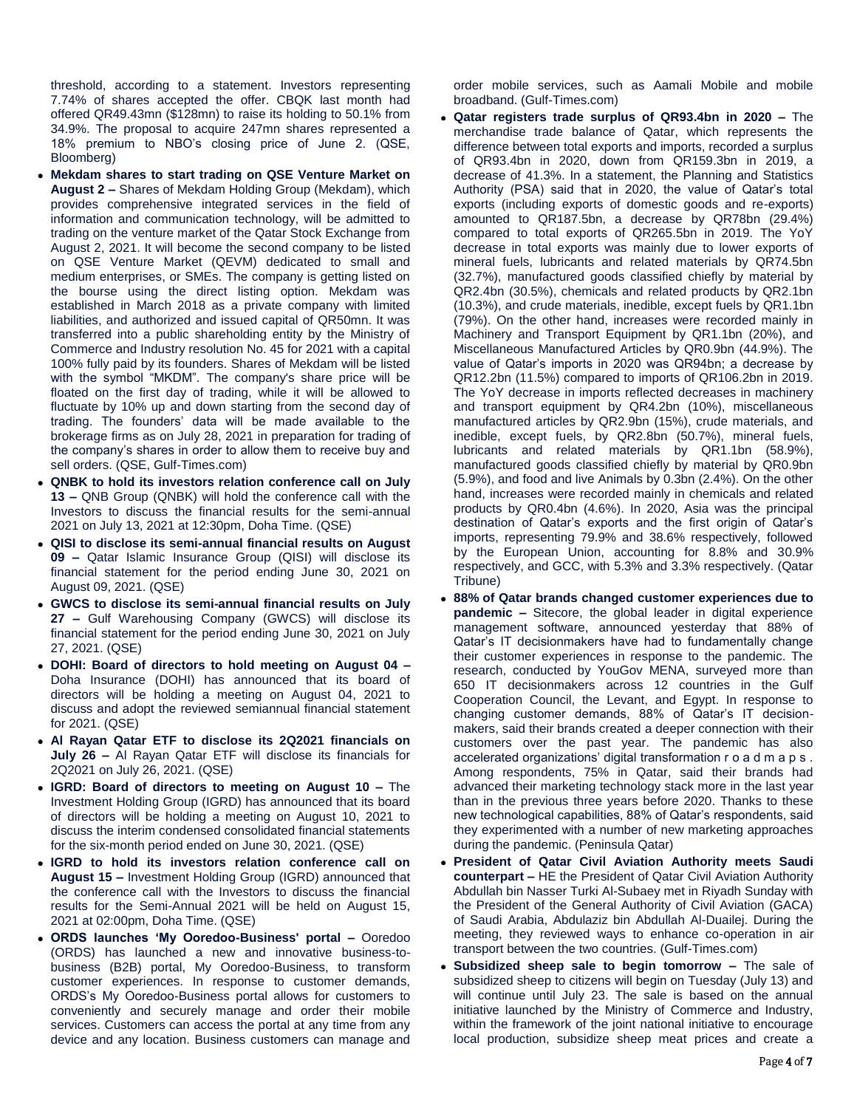threshold, according to a statement. Investors representing 7.74% of shares accepted the offer. CBQK last month had offered QR49.43mn (\$128mn) to raise its holding to 50.1% from 34.9%. The proposal to acquire 247mn shares represented a 18% premium to NBO's closing price of June 2. (QSE, Bloomberg)

- **Mekdam shares to start trading on QSE Venture Market on August 2 –** Shares of Mekdam Holding Group (Mekdam), which provides comprehensive integrated services in the field of information and communication technology, will be admitted to trading on the venture market of the Qatar Stock Exchange from August 2, 2021. It will become the second company to be listed on QSE Venture Market (QEVM) dedicated to small and medium enterprises, or SMEs. The company is getting listed on the bourse using the direct listing option. Mekdam was established in March 2018 as a private company with limited liabilities, and authorized and issued capital of QR50mn. It was transferred into a public shareholding entity by the Ministry of Commerce and Industry resolution No. 45 for 2021 with a capital 100% fully paid by its founders. Shares of Mekdam will be listed with the symbol "MKDM". The company's share price will be floated on the first day of trading, while it will be allowed to fluctuate by 10% up and down starting from the second day of trading. The founders' data will be made available to the brokerage firms as on July 28, 2021 in preparation for trading of the company's shares in order to allow them to receive buy and sell orders. (QSE, Gulf-Times.com)
- **QNBK to hold its investors relation conference call on July 13 –** QNB Group (QNBK) will hold the conference call with the Investors to discuss the financial results for the semi-annual 2021 on July 13, 2021 at 12:30pm, Doha Time. (QSE)
- **QISI to disclose its semi-annual financial results on August 09 –** Qatar Islamic Insurance Group (QISI) will disclose its financial statement for the period ending June 30, 2021 on August 09, 2021. (QSE)
- **GWCS to disclose its semi-annual financial results on July 27 –** Gulf Warehousing Company (GWCS) will disclose its financial statement for the period ending June 30, 2021 on July 27, 2021. (QSE)
- **DOHI: Board of directors to hold meeting on August 04 –** Doha Insurance (DOHI) has announced that its board of directors will be holding a meeting on August 04, 2021 to discuss and adopt the reviewed semiannual financial statement for 2021. (QSE)
- **Al Rayan Qatar ETF to disclose its 2Q2021 financials on July 26 –** Al Rayan Qatar ETF will disclose its financials for 2Q2021 on July 26, 2021. (QSE)
- **IGRD: Board of directors to meeting on August 10 –** The Investment Holding Group (IGRD) has announced that its board of directors will be holding a meeting on August 10, 2021 to discuss the interim condensed consolidated financial statements for the six-month period ended on June 30, 2021. (QSE)
- **IGRD to hold its investors relation conference call on August 15 –** Investment Holding Group (IGRD) announced that the conference call with the Investors to discuss the financial results for the Semi-Annual 2021 will be held on August 15, 2021 at 02:00pm, Doha Time. (QSE)
- **ORDS launches 'My Ooredoo-Business' portal –** Ooredoo (ORDS) has launched a new and innovative business-tobusiness (B2B) portal, My Ooredoo-Business, to transform customer experiences. In response to customer demands, ORDS's My Ooredoo-Business portal allows for customers to conveniently and securely manage and order their mobile services. Customers can access the portal at any time from any device and any location. Business customers can manage and

order mobile services, such as Aamali Mobile and mobile broadband. (Gulf-Times.com)

- **Qatar registers trade surplus of QR93.4bn in 2020 –** The merchandise trade balance of Qatar, which represents the difference between total exports and imports, recorded a surplus of QR93.4bn in 2020, down from QR159.3bn in 2019, a decrease of 41.3%. In a statement, the Planning and Statistics Authority (PSA) said that in 2020, the value of Qatar's total exports (including exports of domestic goods and re-exports) amounted to QR187.5bn, a decrease by QR78bn (29.4%) compared to total exports of QR265.5bn in 2019. The YoY decrease in total exports was mainly due to lower exports of mineral fuels, lubricants and related materials by QR74.5bn (32.7%), manufactured goods classified chiefly by material by QR2.4bn (30.5%), chemicals and related products by QR2.1bn (10.3%), and crude materials, inedible, except fuels by QR1.1bn (79%). On the other hand, increases were recorded mainly in Machinery and Transport Equipment by QR1.1bn (20%), and Miscellaneous Manufactured Articles by QR0.9bn (44.9%). The value of Qatar's imports in 2020 was QR94bn; a decrease by QR12.2bn (11.5%) compared to imports of QR106.2bn in 2019. The YoY decrease in imports reflected decreases in machinery and transport equipment by QR4.2bn (10%), miscellaneous manufactured articles by QR2.9bn (15%), crude materials, and inedible, except fuels, by QR2.8bn (50.7%), mineral fuels, lubricants and related materials by QR1.1bn (58.9%), manufactured goods classified chiefly by material by QR0.9bn (5.9%), and food and live Animals by 0.3bn (2.4%). On the other hand, increases were recorded mainly in chemicals and related products by QR0.4bn (4.6%). In 2020, Asia was the principal destination of Qatar's exports and the first origin of Qatar's imports, representing 79.9% and 38.6% respectively, followed by the European Union, accounting for 8.8% and 30.9% respectively, and GCC, with 5.3% and 3.3% respectively. (Qatar Tribune)
- **88% of Qatar brands changed customer experiences due to pandemic –** Sitecore, the global leader in digital experience management software, announced yesterday that 88% of Qatar's IT decisionmakers have had to fundamentally change their customer experiences in response to the pandemic. The research, conducted by YouGov MENA, surveyed more than 650 IT decisionmakers across 12 countries in the Gulf Cooperation Council, the Levant, and Egypt. In response to changing customer demands, 88% of Qatar's IT decisionmakers, said their brands created a deeper connection with their customers over the past year. The pandemic has also accelerated organizations' digital transformation r o a d m a p s . Among respondents, 75% in Qatar, said their brands had advanced their marketing technology stack more in the last year than in the previous three years before 2020. Thanks to these new technological capabilities, 88% of Qatar's respondents, said they experimented with a number of new marketing approaches during the pandemic. (Peninsula Qatar)
- **President of Qatar Civil Aviation Authority meets Saudi counterpart –** HE the President of Qatar Civil Aviation Authority Abdullah bin Nasser Turki Al-Subaey met in Riyadh Sunday with the President of the General Authority of Civil Aviation (GACA) of Saudi Arabia, Abdulaziz bin Abdullah Al-Duailej. During the meeting, they reviewed ways to enhance co-operation in air transport between the two countries. (Gulf-Times.com)
- **Subsidized sheep sale to begin tomorrow –** The sale of subsidized sheep to citizens will begin on Tuesday (July 13) and will continue until July 23. The sale is based on the annual initiative launched by the Ministry of Commerce and Industry, within the framework of the joint national initiative to encourage local production, subsidize sheep meat prices and create a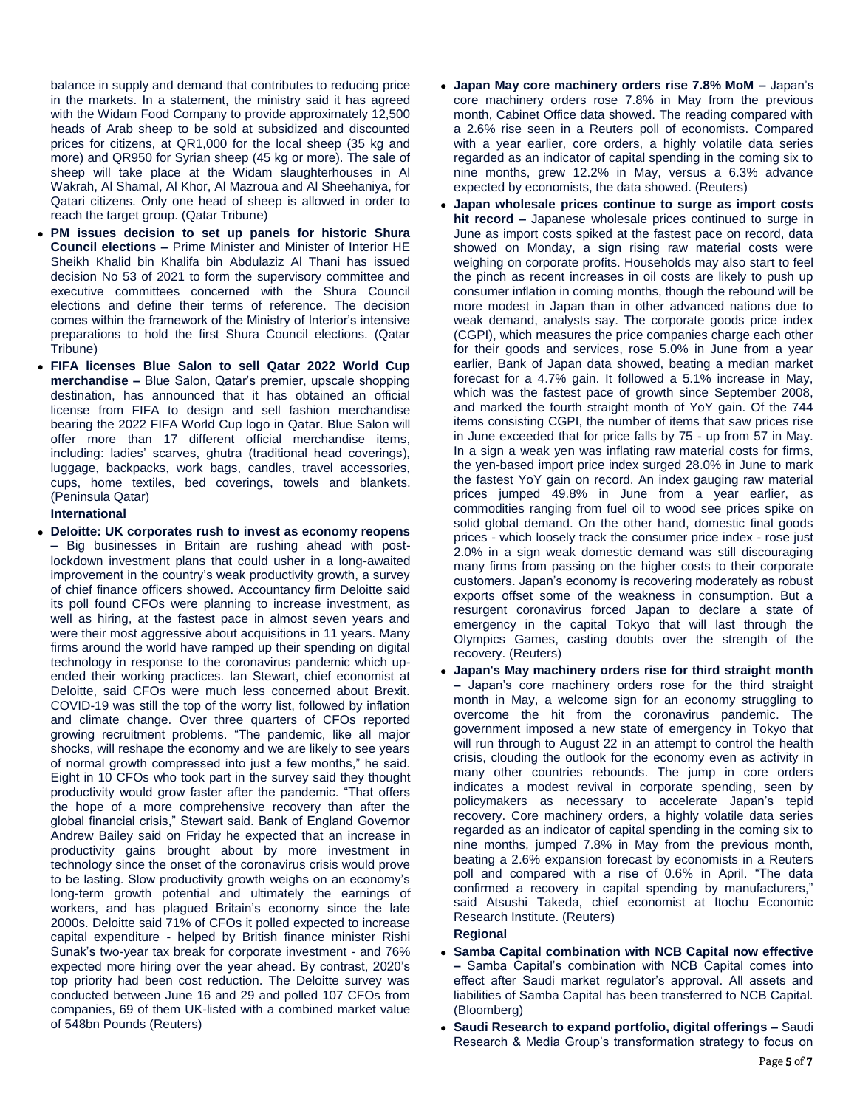balance in supply and demand that contributes to reducing price in the markets. In a statement, the ministry said it has agreed with the Widam Food Company to provide approximately 12,500 heads of Arab sheep to be sold at subsidized and discounted prices for citizens, at QR1,000 for the local sheep (35 kg and more) and QR950 for Syrian sheep (45 kg or more). The sale of sheep will take place at the Widam slaughterhouses in Al Wakrah, Al Shamal, Al Khor, Al Mazroua and Al Sheehaniya, for Qatari citizens. Only one head of sheep is allowed in order to reach the target group. (Qatar Tribune)

- **PM issues decision to set up panels for historic Shura Council elections –** Prime Minister and Minister of Interior HE Sheikh Khalid bin Khalifa bin Abdulaziz Al Thani has issued decision No 53 of 2021 to form the supervisory committee and executive committees concerned with the Shura Council elections and define their terms of reference. The decision comes within the framework of the Ministry of Interior's intensive preparations to hold the first Shura Council elections. (Qatar Tribune)
- **FIFA licenses Blue Salon to sell Qatar 2022 World Cup merchandise –** Blue Salon, Qatar's premier, upscale shopping destination, has announced that it has obtained an official license from FIFA to design and sell fashion merchandise bearing the 2022 FIFA World Cup logo in Qatar. Blue Salon will offer more than 17 different official merchandise items, including: ladies' scarves, ghutra (traditional head coverings), luggage, backpacks, work bags, candles, travel accessories, cups, home textiles, bed coverings, towels and blankets. (Peninsula Qatar)

### **International**

 **Deloitte: UK corporates rush to invest as economy reopens –** Big businesses in Britain are rushing ahead with postlockdown investment plans that could usher in a long-awaited improvement in the country's weak productivity growth, a survey of chief finance officers showed. Accountancy firm Deloitte said its poll found CFOs were planning to increase investment, as well as hiring, at the fastest pace in almost seven years and were their most aggressive about acquisitions in 11 years. Many firms around the world have ramped up their spending on digital technology in response to the coronavirus pandemic which upended their working practices. Ian Stewart, chief economist at Deloitte, said CFOs were much less concerned about Brexit. COVID-19 was still the top of the worry list, followed by inflation and climate change. Over three quarters of CFOs reported growing recruitment problems. "The pandemic, like all major shocks, will reshape the economy and we are likely to see years of normal growth compressed into just a few months," he said. Eight in 10 CFOs who took part in the survey said they thought productivity would grow faster after the pandemic. "That offers the hope of a more comprehensive recovery than after the global financial crisis," Stewart said. Bank of England Governor Andrew Bailey said on Friday he expected that an increase in productivity gains brought about by more investment in technology since the onset of the coronavirus crisis would prove to be lasting. Slow productivity growth weighs on an economy's long-term growth potential and ultimately the earnings of workers, and has plagued Britain's economy since the late 2000s. Deloitte said 71% of CFOs it polled expected to increase capital expenditure - helped by British finance minister Rishi Sunak's two-year tax break for corporate investment - and 76% expected more hiring over the year ahead. By contrast, 2020's top priority had been cost reduction. The Deloitte survey was conducted between June 16 and 29 and polled 107 CFOs from companies, 69 of them UK-listed with a combined market value of 548bn Pounds (Reuters)

- **Japan May core machinery orders rise 7.8% MoM –** Japan's core machinery orders rose 7.8% in May from the previous month, Cabinet Office data showed. The reading compared with a 2.6% rise seen in a Reuters poll of economists. Compared with a year earlier, core orders, a highly volatile data series regarded as an indicator of capital spending in the coming six to nine months, grew 12.2% in May, versus a 6.3% advance expected by economists, the data showed. (Reuters)
- **Japan wholesale prices continue to surge as import costs hit record –** Japanese wholesale prices continued to surge in June as import costs spiked at the fastest pace on record, data showed on Monday, a sign rising raw material costs were weighing on corporate profits. Households may also start to feel the pinch as recent increases in oil costs are likely to push up consumer inflation in coming months, though the rebound will be more modest in Japan than in other advanced nations due to weak demand, analysts say. The corporate goods price index (CGPI), which measures the price companies charge each other for their goods and services, rose 5.0% in June from a year earlier, Bank of Japan data showed, beating a median market forecast for a 4.7% gain. It followed a 5.1% increase in May, which was the fastest pace of growth since September 2008, and marked the fourth straight month of YoY gain. Of the 744 items consisting CGPI, the number of items that saw prices rise in June exceeded that for price falls by 75 - up from 57 in May. In a sign a weak yen was inflating raw material costs for firms, the yen-based import price index surged 28.0% in June to mark the fastest YoY gain on record. An index gauging raw material prices jumped 49.8% in June from a year earlier, as commodities ranging from fuel oil to wood see prices spike on solid global demand. On the other hand, domestic final goods prices - which loosely track the consumer price index - rose just 2.0% in a sign weak domestic demand was still discouraging many firms from passing on the higher costs to their corporate customers. Japan's economy is recovering moderately as robust exports offset some of the weakness in consumption. But a resurgent coronavirus forced Japan to declare a state of emergency in the capital Tokyo that will last through the Olympics Games, casting doubts over the strength of the recovery. (Reuters)
- **Japan's May machinery orders rise for third straight month –** Japan's core machinery orders rose for the third straight month in May, a welcome sign for an economy struggling to overcome the hit from the coronavirus pandemic. The government imposed a new state of emergency in Tokyo that will run through to August 22 in an attempt to control the health crisis, clouding the outlook for the economy even as activity in many other countries rebounds. The jump in core orders indicates a modest revival in corporate spending, seen by policymakers as necessary to accelerate Japan's tepid recovery. Core machinery orders, a highly volatile data series regarded as an indicator of capital spending in the coming six to nine months, jumped 7.8% in May from the previous month, beating a 2.6% expansion forecast by economists in a Reuters poll and compared with a rise of 0.6% in April. "The data confirmed a recovery in capital spending by manufacturers," said Atsushi Takeda, chief economist at Itochu Economic Research Institute. (Reuters)

#### **Regional**

- **Samba Capital combination with NCB Capital now effective –** Samba Capital's combination with NCB Capital comes into effect after Saudi market regulator's approval. All assets and liabilities of Samba Capital has been transferred to NCB Capital. (Bloomberg)
- **Saudi Research to expand portfolio, digital offerings –** Saudi Research & Media Group's transformation strategy to focus on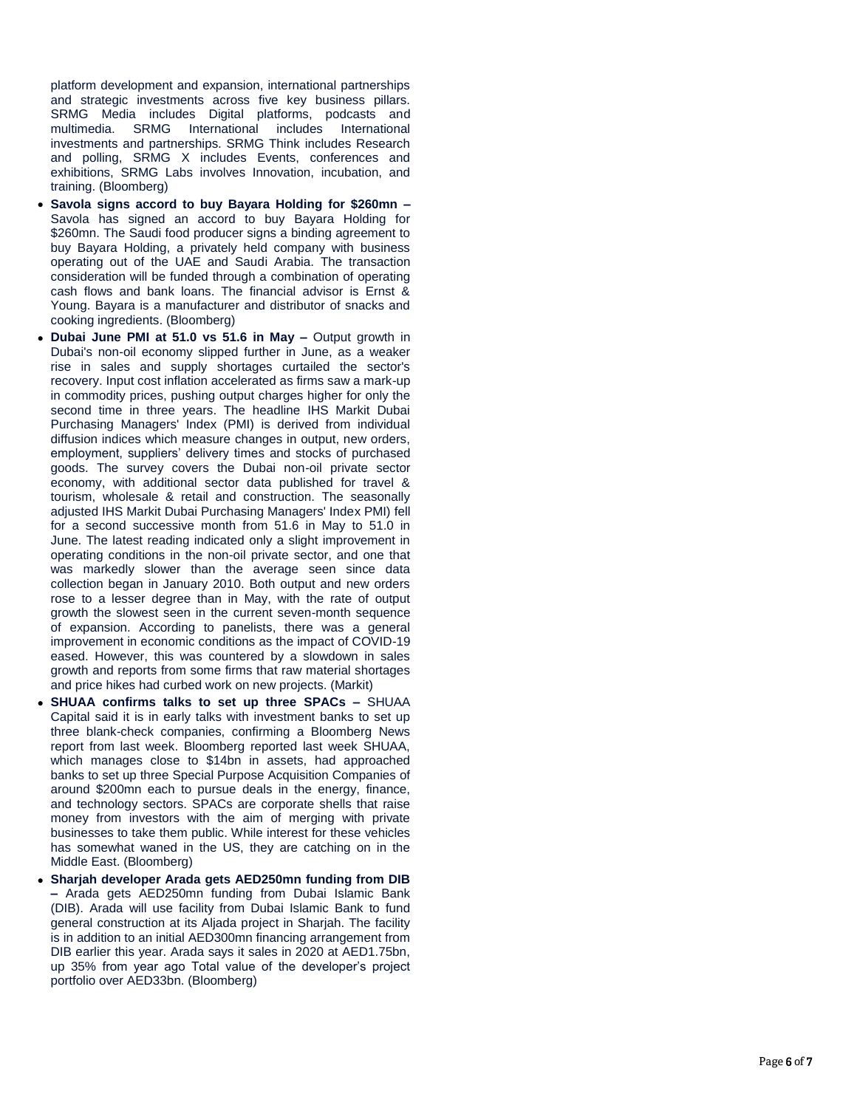platform development and expansion, international partnerships and strategic investments across five key business pillars. SRMG Media includes Digital platforms, podcasts and multimedia. SRMG International includes International investments and partnerships. SRMG Think includes Research and polling, SRMG X includes Events, conferences and exhibitions, SRMG Labs involves Innovation, incubation, and training. (Bloomberg)

- **Savola signs accord to buy Bayara Holding for \$260mn –** Savola has signed an accord to buy Bayara Holding for \$260mn. The Saudi food producer signs a binding agreement to buy Bayara Holding, a privately held company with business operating out of the UAE and Saudi Arabia. The transaction consideration will be funded through a combination of operating cash flows and bank loans. The financial advisor is Ernst & Young. Bayara is a manufacturer and distributor of snacks and cooking ingredients. (Bloomberg)
- **Dubai June PMI at 51.0 vs 51.6 in May Output growth in** Dubai's non -oil economy slipped further in June, as a weaker rise in sales and supply shortages curtailed the sector's recovery. Input cost inflation accelerated as firms saw a mark -up in commodity prices, pushing output charges higher for only the second time in three years. The headline IHS Markit Dubai Purchasing Managers' Index (PMI) is derived from individual diffusion indices which measure changes in output, new orders, employment, suppliers' delivery times and stocks of purchased goods. The survey covers the Dubai non -oil private sector economy, with additional sector data published for travel & tourism, wholesale & retail and construction. The seasonally adjusted IHS Markit Dubai Purchasing Managers' Index PMI) fell for a second successive month from 51.6 in May to 51.0 in June. The latest reading indicated only a slight improvement in operating conditions in the non -oil private sector, and one that was markedly slower than the average seen since data collection began in January 2010. Both output and new orders rose to a lesser degree than in May, with the rate of output growth the slowest seen in the current seven -month sequence of expansion. According to panelists, there was a general improvement in economic conditions as the impact of COVID -19 eased. However, this was countered by a slowdown in sales growth and reports from some firms that raw material shortages and price hikes had curbed work on new projects. (Markit)
- **SHUAA confirms talks to set up three SPACs –** SHUAA Capital said it is in early talks with investment banks to set up three blank -check companies, confirming a Bloomberg News report from last week. Bloomberg reported last week SHUAA, which manages close to \$14bn in assets, had approached banks to set up three Special Purpose Acquisition Companies of around \$200mn each to pursue deals in the energy, finance, and technology sectors. SPACs are corporate shells that raise money from investors with the aim of merging with private businesses to take them public. While interest for these vehicles has somewhat waned in the US, they are catching on in the Middle East. (Bloomberg)
- **Sharjah developer Arada gets AED250mn funding from DIB –** Arada gets AED250mn funding from Dubai Islamic Bank (DIB). Arada will use facility from Dubai Islamic Bank to fund general construction at its Aljada project in Sharjah. The facility is in addition to an initial AED300mn financing arrangement from DIB earlier this year. Arada says it sales in 2020 at AED1.75bn, up 35% from year ago Total value of the developer's project portfolio over AED33bn. (Bloomberg)